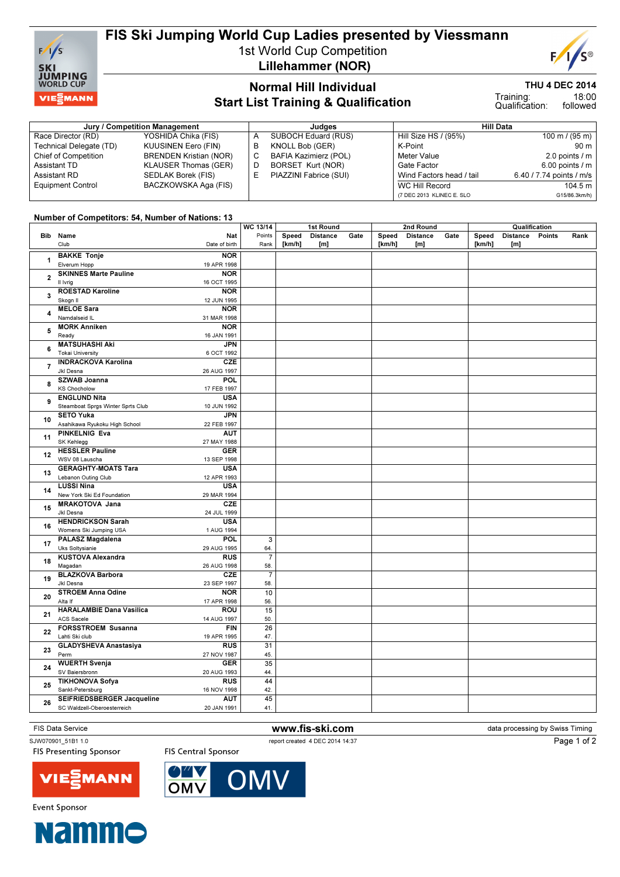

# FIS Ski Jumping World Cup Ladies presented by Viessmann

1st World Cup Competition Lillehammer (NOR)



Page 1 of 2

### THU 4 DEC 2014

18:00 followed Training: Qualification:

## Normal Hill Individual Start List Training & Qualification

#### Jury / Competition Management **All Data** Judges **Hill Data** Hill Data Race Director (RD) YOSHIDA Chika (FIS)<br>Technical Delegate (TD) KUUSINEN Eero (FIN) Technical Delegate (TD) Chief of Competition BRENDEN Kristian (NOR) Assistant TD **KLAUSER Thomas (GER)**<br>Assistant RD **SEDLAK Borek (FIS)** SEDLAK Borek (FIS) Equipment Control BACZKOWSKA Aga (FIS) A SUBOCH Eduard (RUS)<br>B KNOLL Bob (GER) KNOLL Bob (GER) C BAFIA Kazimierz (POL) D BORSET Kurt (NOR)<br>E PIAZZINI Fabrice (SU PIAZZINI Fabrice (SUI) Hill Size HS / (95%) 100 m / (95 m) K-Point 90 m<br>Meter Value 2.0 points / m 2.0 points  $\ell$  m Gate Factor 6.00 points / m<br>Wind Factors head / tail 6.40 / 7.74 points / m/s Wind Factors head / tail WC Hill Record 104.5 m (7 DEC 2013 KLINEC E. SLO G15/86.3km/h)

### Number of Competitors: 54, Number of Nations: 13

|                          |                                   |               | WC 13/14       | 1st Round |                 |      | 2nd Round |                 |      | Qualification |                 |        |      |
|--------------------------|-----------------------------------|---------------|----------------|-----------|-----------------|------|-----------|-----------------|------|---------------|-----------------|--------|------|
|                          | Bib Name                          | Nat           | Points         | Speed     | <b>Distance</b> | Gate | Speed     | <b>Distance</b> | Gate | Speed         | <b>Distance</b> | Points | Rank |
|                          | Club                              | Date of birth | Rank           | [km/h]    | [m]             |      | [km/h]    | [m]             |      | [km/h]        | [m]             |        |      |
|                          |                                   |               |                |           |                 |      |           |                 |      |               |                 |        |      |
| 1                        | <b>BAKKE Tonje</b>                | <b>NOR</b>    |                |           |                 |      |           |                 |      |               |                 |        |      |
|                          | Elverum Hopp                      | 19 APR 1998   |                |           |                 |      |           |                 |      |               |                 |        |      |
| $\mathbf{2}$             | <b>SKINNES Marte Pauline</b>      | <b>NOR</b>    |                |           |                 |      |           |                 |      |               |                 |        |      |
|                          | II Ivrig                          | 16 OCT 1995   |                |           |                 |      |           |                 |      |               |                 |        |      |
| 3                        | <b>ROESTAD Karoline</b>           | <b>NOR</b>    |                |           |                 |      |           |                 |      |               |                 |        |      |
|                          | Skogn II                          | 12 JUN 1995   |                |           |                 |      |           |                 |      |               |                 |        |      |
| 4                        | <b>MELOE Sara</b>                 | <b>NOR</b>    |                |           |                 |      |           |                 |      |               |                 |        |      |
|                          | Namdalseid IL                     | 31 MAR 1998   |                |           |                 |      |           |                 |      |               |                 |        |      |
| 5<br>6<br>$\overline{7}$ | <b>MORK Anniken</b>               | <b>NOR</b>    |                |           |                 |      |           |                 |      |               |                 |        |      |
|                          | Ready                             | 16 JAN 1991   |                |           |                 |      |           |                 |      |               |                 |        |      |
|                          | <b>MATSUHASHI Aki</b>             | <b>JPN</b>    |                |           |                 |      |           |                 |      |               |                 |        |      |
|                          | <b>Tokai University</b>           | 6 OCT 1992    |                |           |                 |      |           |                 |      |               |                 |        |      |
|                          | <b>INDRACKOVA Karolina</b>        | CZE           |                |           |                 |      |           |                 |      |               |                 |        |      |
|                          | Jkl Desna                         |               |                |           |                 |      |           |                 |      |               |                 |        |      |
| 8                        |                                   | 26 AUG 1997   |                |           |                 |      |           |                 |      |               |                 |        |      |
|                          | <b>SZWAB Joanna</b>               | <b>POL</b>    |                |           |                 |      |           |                 |      |               |                 |        |      |
|                          | <b>KS Chocholow</b>               | 17 FEB 1997   |                |           |                 |      |           |                 |      |               |                 |        |      |
| 9<br>10<br>11            | <b>ENGLUND Nita</b>               | <b>USA</b>    |                |           |                 |      |           |                 |      |               |                 |        |      |
|                          | Steamboat Sprgs Winter Sprts Club | 10 JUN 1992   |                |           |                 |      |           |                 |      |               |                 |        |      |
|                          | <b>SETO Yuka</b>                  | <b>JPN</b>    |                |           |                 |      |           |                 |      |               |                 |        |      |
|                          | Asahikawa Ryukoku High School     | 22 FEB 1997   |                |           |                 |      |           |                 |      |               |                 |        |      |
|                          | <b>PINKELNIG Eva</b>              | <b>AUT</b>    |                |           |                 |      |           |                 |      |               |                 |        |      |
| 12                       | SK Kehlegg                        | 27 MAY 1988   |                |           |                 |      |           |                 |      |               |                 |        |      |
|                          | <b>HESSLER Pauline</b>            | <b>GER</b>    |                |           |                 |      |           |                 |      |               |                 |        |      |
|                          | WSV 08 Lauscha                    | 13 SEP 1998   |                |           |                 |      |           |                 |      |               |                 |        |      |
|                          | <b>GERAGHTY-MOATS Tara</b>        | <b>USA</b>    |                |           |                 |      |           |                 |      |               |                 |        |      |
| 13                       | Lebanon Outing Club               | 12 APR 1993   |                |           |                 |      |           |                 |      |               |                 |        |      |
|                          | <b>LUSSI Nina</b>                 | <b>USA</b>    |                |           |                 |      |           |                 |      |               |                 |        |      |
| 14                       | New York Ski Ed Foundation        | 29 MAR 1994   |                |           |                 |      |           |                 |      |               |                 |        |      |
| 15                       | <b>MRAKOTOVA Jana</b>             | CZE           |                |           |                 |      |           |                 |      |               |                 |        |      |
|                          | Jkl Desna                         | 24 JUL 1999   |                |           |                 |      |           |                 |      |               |                 |        |      |
|                          | <b>HENDRICKSON Sarah</b>          | <b>USA</b>    |                |           |                 |      |           |                 |      |               |                 |        |      |
| 16                       | Womens Ski Jumping USA            | 1 AUG 1994    |                |           |                 |      |           |                 |      |               |                 |        |      |
| 17                       | <b>PALASZ Magdalena</b>           | <b>POL</b>    | 3              |           |                 |      |           |                 |      |               |                 |        |      |
|                          | Uks Soltysianie                   | 29 AUG 1995   | 64.            |           |                 |      |           |                 |      |               |                 |        |      |
| 18                       | <b>KUSTOVA Alexandra</b>          | <b>RUS</b>    | 7              |           |                 |      |           |                 |      |               |                 |        |      |
|                          | Magadan                           | 26 AUG 1998   | 58.            |           |                 |      |           |                 |      |               |                 |        |      |
| 19                       | <b>BLAZKOVA Barbora</b>           | <b>CZE</b>    | $\overline{7}$ |           |                 |      |           |                 |      |               |                 |        |      |
|                          | Jkl Desna                         | 23 SEP 1997   | 58.            |           |                 |      |           |                 |      |               |                 |        |      |
|                          | <b>STROEM Anna Odine</b>          |               | 10             |           |                 |      |           |                 |      |               |                 |        |      |
| 20                       | Alta If                           | <b>NOR</b>    | 56.            |           |                 |      |           |                 |      |               |                 |        |      |
|                          |                                   | 17 APR 1998   |                |           |                 |      |           |                 |      |               |                 |        |      |
| 21                       | <b>HARALAMBIE Dana Vasilica</b>   | <b>ROU</b>    | 15             |           |                 |      |           |                 |      |               |                 |        |      |
| 22                       | ACS Sacele                        | 14 AUG 1997   | 50.            |           |                 |      |           |                 |      |               |                 |        |      |
|                          | <b>FORSSTROEM Susanna</b>         | <b>FIN</b>    | 26             |           |                 |      |           |                 |      |               |                 |        |      |
|                          | Lahti Ski club                    | 19 APR 1995   | 47.            |           |                 |      |           |                 |      |               |                 |        |      |
| 23                       | <b>GLADYSHEVA Anastasiya</b>      | RUS           | 31             |           |                 |      |           |                 |      |               |                 |        |      |
|                          | Perm                              | 27 NOV 1987   | 45.            |           |                 |      |           |                 |      |               |                 |        |      |
| 24                       | <b>WUERTH Svenja</b>              | <b>GER</b>    | 35             |           |                 |      |           |                 |      |               |                 |        |      |
|                          | SV Baiersbronn                    | 20 AUG 1993   | 44.            |           |                 |      |           |                 |      |               |                 |        |      |
| 25                       | <b>TIKHONOVA Sofya</b>            | <b>RUS</b>    | 44             |           |                 |      |           |                 |      |               |                 |        |      |
|                          | Sankt-Petersburg                  | 16 NOV 1998   | 42.            |           |                 |      |           |                 |      |               |                 |        |      |
| 26                       | SEIFRIEDSBERGER Jacqueline        | <b>AUT</b>    | 45             |           |                 |      |           |                 |      |               |                 |        |      |
|                          | SC Waldzell-Oberoesterreich       | 20 JAN 1991   | 41.            |           |                 |      |           |                 |      |               |                 |        |      |
|                          |                                   |               |                |           |                 |      |           |                 |      |               |                 |        |      |

FIS Data Service **WWW.fis-ski.com www.fis-ski.com** data processing by Swiss Timing

SJW070901\_51B1 1.0 report created 4 DEC 2014 14:37

**FIS Presenting Sponsor** 





**FIS Central Sponsor**